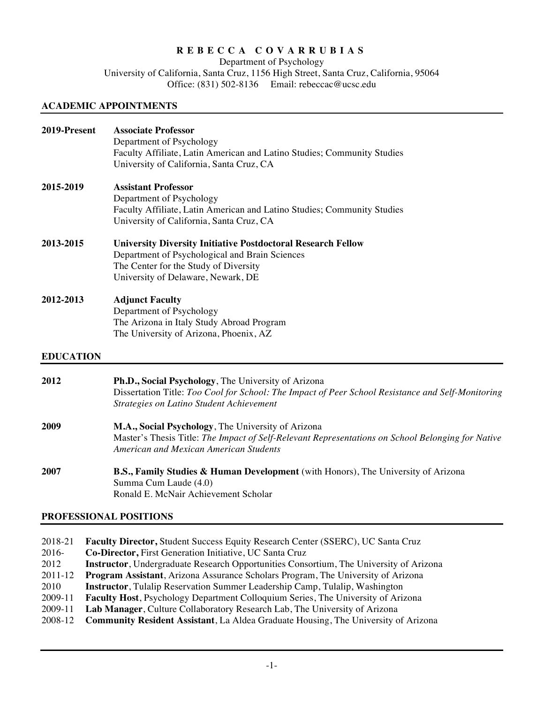# **REBECCA COVARRUBIAS**

Department of Psychology University of California, Santa Cruz, 1156 High Street, Santa Cruz, California, 95064 Office: (831) 502-8136 Email: rebeccac@ucsc.edu

## **ACADEMIC APPOINTMENTS**

| 2019-Present     | <b>Associate Professor</b><br>Department of Psychology<br>Faculty Affiliate, Latin American and Latino Studies; Community Studies<br>University of California, Santa Cruz, CA                            |
|------------------|----------------------------------------------------------------------------------------------------------------------------------------------------------------------------------------------------------|
| 2015-2019        | <b>Assistant Professor</b><br>Department of Psychology<br>Faculty Affiliate, Latin American and Latino Studies; Community Studies<br>University of California, Santa Cruz, CA                            |
| 2013-2015        | <b>University Diversity Initiative Postdoctoral Research Fellow</b><br>Department of Psychological and Brain Sciences<br>The Center for the Study of Diversity<br>University of Delaware, Newark, DE     |
| 2012-2013        | <b>Adjunct Faculty</b><br>Department of Psychology<br>The Arizona in Italy Study Abroad Program<br>The University of Arizona, Phoenix, AZ                                                                |
| <b>EDUCATION</b> |                                                                                                                                                                                                          |
| 2012             | Ph.D., Social Psychology, The University of Arizona<br>Dissertation Title: Too Cool for School: The Impact of Peer School Resistance and Self-Monitoring<br>Strategies on Latino Student Achievement     |
| 2009             | M.A., Social Psychology, The University of Arizona<br>Master's Thesis Title: The Impact of Self-Relevant Representations on School Belonging for Native<br><b>American and Mexican American Students</b> |

**2007 B.S., Family Studies & Human Development** (with Honors), The University of Arizona Summa Cum Laude (4.0) Ronald E. McNair Achievement Scholar

## **PROFESSIONAL POSITIONS**

| 2018-21 | <b>Faculty Director, Student Success Equity Research Center (SSERC), UC Santa Cruz</b>         |
|---------|------------------------------------------------------------------------------------------------|
| 2016-   | Co-Director, First Generation Initiative, UC Santa Cruz                                        |
| 2012    | <b>Instructor</b> , Undergraduate Research Opportunities Consortium, The University of Arizona |
| 2011-12 | <b>Program Assistant</b> , Arizona Assurance Scholars Program, The University of Arizona       |
| 2010    | <b>Instructor</b> , Tulalip Reservation Summer Leadership Camp, Tulalip, Washington            |
| 2009-11 | <b>Faculty Host, Psychology Department Colloquium Series, The University of Arizona</b>        |
| 2009-11 | Lab Manager, Culture Collaboratory Research Lab, The University of Arizona                     |
| 2008-12 | <b>Community Resident Assistant, La Aldea Graduate Housing, The University of Arizona</b>      |
|         |                                                                                                |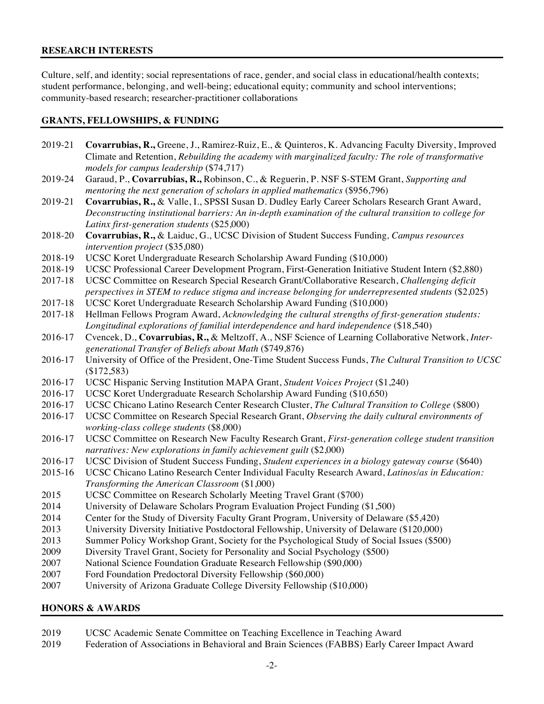## **RESEARCH INTERESTS**

Culture, self, and identity; social representations of race, gender, and social class in educational/health contexts; student performance, belonging, and well-being; educational equity; community and school interventions; community-based research; researcher-practitioner collaborations

## **GRANTS, FELLOWSHIPS, & FUNDING**

| 2019-21 | Covarrubias, R., Greene, J., Ramirez-Ruiz, E., & Quinteros, K. Advancing Faculty Diversity, Improved     |
|---------|----------------------------------------------------------------------------------------------------------|
|         | Climate and Retention, Rebuilding the academy with marginalized faculty: The role of transformative      |
|         | models for campus leadership (\$74,717)                                                                  |
| 2019-24 | Garaud, P., Covarrubias, R., Robinson, C., & Reguerin, P. NSF S-STEM Grant, Supporting and               |
|         | mentoring the next generation of scholars in applied mathematics (\$956,796)                             |
| 2019-21 | Covarrubias, R., & Valle, I., SPSSI Susan D. Dudley Early Career Scholars Research Grant Award,          |
|         | Deconstructing institutional barriers: An in-depth examination of the cultural transition to college for |
|         | Latinx first-generation students (\$25,000)                                                              |
| 2018-20 | Covarrubias, R., & Laiduc, G., UCSC Division of Student Success Funding, Campus resources                |
|         | intervention project (\$35,080)                                                                          |
| 2018-19 | UCSC Koret Undergraduate Research Scholarship Award Funding (\$10,000)                                   |
| 2018-19 | UCSC Professional Career Development Program, First-Generation Initiative Student Intern (\$2,880)       |
| 2017-18 | UCSC Committee on Research Special Research Grant/Collaborative Research, Challenging deficit            |
|         | perspectives in STEM to reduce stigma and increase belonging for underrepresented students (\$2,025)     |
| 2017-18 | UCSC Koret Undergraduate Research Scholarship Award Funding (\$10,000)                                   |
| 2017-18 | Hellman Fellows Program Award, Acknowledging the cultural strengths of first-generation students:        |
|         | Longitudinal explorations of familial interdependence and hard independence (\$18,540)                   |
| 2016-17 | Cvencek, D., Covarrubias, R., & Meltzoff, A., NSF Science of Learning Collaborative Network, Inter-      |
|         | generational Transfer of Beliefs about Math (\$749,876)                                                  |
| 2016-17 | University of Office of the President, One-Time Student Success Funds, The Cultural Transition to UCSC   |
|         | (\$172,583)                                                                                              |
| 2016-17 | UCSC Hispanic Serving Institution MAPA Grant, Student Voices Project (\$1,240)                           |
| 2016-17 | UCSC Koret Undergraduate Research Scholarship Award Funding (\$10,650)                                   |
| 2016-17 | UCSC Chicano Latino Research Center Research Cluster, The Cultural Transition to College (\$800)         |
| 2016-17 | UCSC Committee on Research Special Research Grant, Observing the daily cultural environments of          |
|         | working-class college students (\$8,000)                                                                 |
| 2016-17 | UCSC Committee on Research New Faculty Research Grant, First-generation college student transition       |
|         | narratives: New explorations in family achievement guilt (\$2,000)                                       |
| 2016-17 | UCSC Division of Student Success Funding, Student experiences in a biology gateway course (\$640)        |
| 2015-16 | UCSC Chicano Latino Research Center Individual Faculty Research Award, Latinos/as in Education:          |
|         | Transforming the American Classroom (\$1,000)                                                            |
| 2015    | UCSC Committee on Research Scholarly Meeting Travel Grant (\$700)                                        |
| 2014    | University of Delaware Scholars Program Evaluation Project Funding (\$1,500)                             |
| 2014    | Center for the Study of Diversity Faculty Grant Program, University of Delaware (\$5,420)                |
| 2013    | University Diversity Initiative Postdoctoral Fellowship, University of Delaware (\$120,000)              |
| 2013    | Summer Policy Workshop Grant, Society for the Psychological Study of Social Issues (\$500)               |
| 2009    | Diversity Travel Grant, Society for Personality and Social Psychology (\$500)                            |
| 2007    | National Science Foundation Graduate Research Fellowship (\$90,000)                                      |
| 2007    | Ford Foundation Predoctoral Diversity Fellowship (\$60,000)                                              |
|         | $AB = 0$                                                                                                 |

2007 University of Arizona Graduate College Diversity Fellowship (\$10,000)

## **HONORS & AWARDS**

- 2019 UCSC Academic Senate Committee on Teaching Excellence in Teaching Award
- 2019 Federation of Associations in Behavioral and Brain Sciences (FABBS) Early Career Impact Award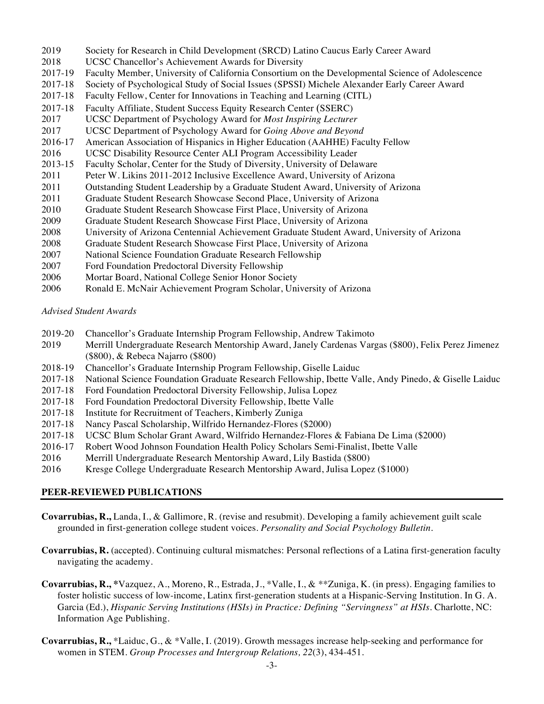- 2019 Society for Research in Child Development (SRCD) Latino Caucus Early Career Award
- 2018 UCSC Chancellor's Achievement Awards for Diversity
- 2017-19 Faculty Member, University of California Consortium on the Developmental Science of Adolescence
- 2017-18 Society of Psychological Study of Social Issues (SPSSI) Michele Alexander Early Career Award
- 2017-18 Faculty Fellow, Center for Innovations in Teaching and Learning (CITL)
- 2017-18 Faculty Affiliate, Student Success Equity Research Center (SSERC)
- 2017 UCSC Department of Psychology Award for *Most Inspiring Lecturer*
- 2017 UCSC Department of Psychology Award for *Going Above and Beyond*
- 2016-17 American Association of Hispanics in Higher Education (AAHHE) Faculty Fellow
- 2016 UCSC Disability Resource Center ALI Program Accessibility Leader
- 2013-15 Faculty Scholar, Center for the Study of Diversity, University of Delaware
- 2011 Peter W. Likins 2011-2012 Inclusive Excellence Award, University of Arizona
- 2011 Outstanding Student Leadership by a Graduate Student Award, University of Arizona
- 2011 Graduate Student Research Showcase Second Place, University of Arizona
- 2010 Graduate Student Research Showcase First Place, University of Arizona
- 2009 Graduate Student Research Showcase First Place, University of Arizona
- 2008 University of Arizona Centennial Achievement Graduate Student Award, University of Arizona
- 2008 Graduate Student Research Showcase First Place, University of Arizona
- 2007 National Science Foundation Graduate Research Fellowship
- 2007 Ford Foundation Predoctoral Diversity Fellowship
- 2006 Mortar Board, National College Senior Honor Society
- 2006 Ronald E. McNair Achievement Program Scholar, University of Arizona

*Advised Student Awards* 

- 2019-20 Chancellor's Graduate Internship Program Fellowship, Andrew Takimoto
- 2019 Merrill Undergraduate Research Mentorship Award, Janely Cardenas Vargas (\$800), Felix Perez Jimenez (\$800), & Rebeca Najarro (\$800)
- 2018-19 Chancellor's Graduate Internship Program Fellowship, Giselle Laiduc
- 2017-18 National Science Foundation Graduate Research Fellowship, Ibette Valle, Andy Pinedo, & Giselle Laiduc
- 2017-18 Ford Foundation Predoctoral Diversity Fellowship, Julisa Lopez
- 2017-18 Ford Foundation Predoctoral Diversity Fellowship, Ibette Valle
- 2017-18 Institute for Recruitment of Teachers, Kimberly Zuniga
- 2017-18 Nancy Pascal Scholarship, Wilfrido Hernandez-Flores (\$2000)
- 2017-18 UCSC Blum Scholar Grant Award, Wilfrido Hernandez-Flores & Fabiana De Lima (\$2000)
- 2016-17 Robert Wood Johnson Foundation Health Policy Scholars Semi-Finalist, Ibette Valle
- 2016 Merrill Undergraduate Research Mentorship Award, Lily Bastida (\$800)
- 2016 Kresge College Undergraduate Research Mentorship Award, Julisa Lopez (\$1000)

## **PEER-REVIEWED PUBLICATIONS**

- **Covarrubias, R.,** Landa, I., & Gallimore, R. (revise and resubmit). Developing a family achievement guilt scale grounded in first-generation college student voices. *Personality and Social Psychology Bulletin.*
- **Covarrubias, R.** (accepted). Continuing cultural mismatches: Personal reflections of a Latina first-generation faculty navigating the academy.
- **Covarrubias, R., \***Vazquez, A., Moreno, R., Estrada, J., \*Valle, I., & \*\*Zuniga, K. (in press). Engaging families to foster holistic success of low-income, Latinx first-generation students at a Hispanic-Serving Institution. In G. A. Garcia (Ed.), *Hispanic Serving Institutions (HSIs) in Practice: Defining "Servingness" at HSIs*. Charlotte, NC: Information Age Publishing.
- **Covarrubias, R.,** \*Laiduc, G., & \*Valle, I. (2019). Growth messages increase help-seeking and performance for women in STEM. *Group Processes and Intergroup Relations, 22*(3), 434-451.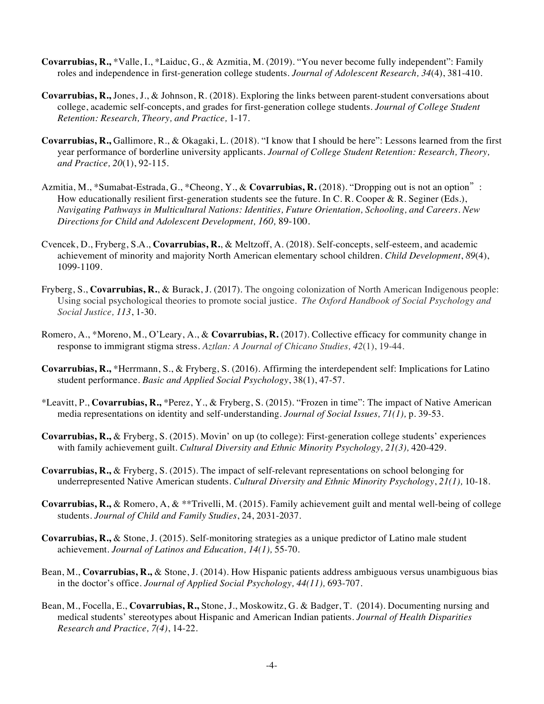- **Covarrubias, R.,** \*Valle, I., \*Laiduc, G., & Azmitia, M. (2019). "You never become fully independent": Family roles and independence in first-generation college students. *Journal of Adolescent Research, 34*(4), 381-410.
- **Covarrubias, R.,** Jones, J., & Johnson, R. (2018). Exploring the links between parent-student conversations about college, academic self-concepts, and grades for first-generation college students. *Journal of College Student Retention: Research, Theory, and Practice,* 1-17.
- **Covarrubias, R.,** Gallimore, R., & Okagaki, L. (2018). "I know that I should be here": Lessons learned from the first year performance of borderline university applicants. *Journal of College Student Retention: Research, Theory, and Practice, 20*(1), 92-115.
- Azmitia, M., \*Sumabat-Estrada, G., \*Cheong, Y., & **Covarrubias, R.** (2018). "Dropping out is not an option": How educationally resilient first-generation students see the future. In C. R. Cooper & R. Seginer (Eds.), *Navigating Pathways in Multicultural Nations: Identities, Future Orientation, Schooling, and Careers*. *New Directions for Child and Adolescent Development, 160,* 89-100.
- Cvencek, D., Fryberg, S.A., **Covarrubias, R.**, & Meltzoff, A. (2018). Self-concepts, self-esteem, and academic achievement of minority and majority North American elementary school children. *Child Development*, *89*(4), 1099-1109.
- Fryberg, S., **Covarrubias, R.**, & Burack, J. (2017). The ongoing colonization of North American Indigenous people: Using social psychological theories to promote social justice. *The Oxford Handbook of Social Psychology and Social Justice, 113*, 1-30.
- Romero, A., \*Moreno, M., O'Leary, A., & **Covarrubias, R.** (2017). Collective efficacy for community change in response to immigrant stigma stress. *Aztlan: A Journal of Chicano Studies, 42*(1), 19-44.
- **Covarrubias, R.,** \*Herrmann, S., & Fryberg, S. (2016). Affirming the interdependent self: Implications for Latino student performance. *Basic and Applied Social Psychology*, 38(1), 47-57.
- \*Leavitt, P., **Covarrubias, R.,** \*Perez, Y., & Fryberg, S. (2015). "Frozen in time": The impact of Native American media representations on identity and self-understanding. *Journal of Social Issues, 71(1),* p. 39-53.
- **Covarrubias, R.,** & Fryberg, S. (2015). Movin' on up (to college): First-generation college students' experiences with family achievement guilt. *Cultural Diversity and Ethnic Minority Psychology*, 21(3), 420-429.
- **Covarrubias, R.,** & Fryberg, S. (2015). The impact of self-relevant representations on school belonging for underrepresented Native American students. *Cultural Diversity and Ethnic Minority Psychology*, *21(1),* 10-18.
- **Covarrubias, R.,** & Romero, A, & \*\*Trivelli, M. (2015). Family achievement guilt and mental well-being of college students. *Journal of Child and Family Studies*, 24, 2031-2037.
- **Covarrubias, R.,** & Stone, J. (2015). Self-monitoring strategies as a unique predictor of Latino male student achievement. *Journal of Latinos and Education, 14(1),* 55-70.
- Bean, M., **Covarrubias, R.,** & Stone, J. (2014). How Hispanic patients address ambiguous versus unambiguous bias in the doctor's office. *Journal of Applied Social Psychology, 44(11),* 693-707.
- Bean, M., Focella, E., **Covarrubias, R.,** Stone, J., Moskowitz, G. & Badger, T. (2014). Documenting nursing and medical students' stereotypes about Hispanic and American Indian patients. *Journal of Health Disparities Research and Practice, 7(4)*, 14-22.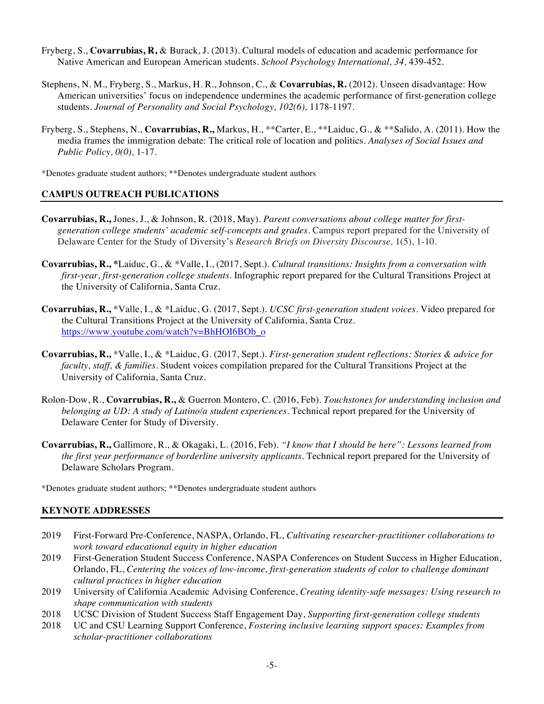- Fryberg, S., **Covarrubias, R,** & Burack, J. (2013). Cultural models of education and academic performance for Native American and European American students. *School Psychology International, 34,* 439-452.
- Stephens, N. M., Fryberg, S., Markus, H. R., Johnson, C., & **Covarrubias, R.** (2012). Unseen disadvantage: How American universities' focus on independence undermines the academic performance of first-generation college students. *Journal of Personality and Social Psychology, 102(6),* 1178-1197.
- Fryberg, S., Stephens, N., **Covarrubias, R.,** Markus, H., \*\*Carter, E., \*\*Laiduc, G., & \*\*Salido, A. (2011). How the media frames the immigration debate: The critical role of location and politics. *Analyses of Social Issues and Public Policy, 0(0),* 1-17.

\*Denotes graduate student authors; \*\*Denotes undergraduate student authors

## **CAMPUS OUTREACH PUBLICATIONS**

- **Covarrubias, R.,** Jones, J., & Johnson, R. (2018, May). *Parent conversations about college matter for firstgeneration college students' academic self-concepts and grades.* Campus report prepared for the University of Delaware Center for the Study of Diversity's *Research Briefs on Diversity Discourse,* 1(5), 1-10.
- **Covarrubias, R., \***Laiduc, G., & \*Valle, I., (2017, Sept.). *Cultural transitions: Insights from a conversation with first-year, first-generation college students.* Infographic report prepared for the Cultural Transitions Project at the University of California, Santa Cruz.
- **Covarrubias, R.,** \*Valle, I., & \*Laiduc, G. (2017, Sept.). *UCSC first-generation student voices.* Video prepared for the Cultural Transitions Project at the University of California, Santa Cruz. https://www.youtube.com/watch?v=BhHOI6BOb\_o
- **Covarrubias, R.,** \*Valle, I., & \*Laiduc, G. (2017, Sept.). *First-generation student reflections: Stories & advice for faculty, staff, & families.* Student voices compilation prepared for the Cultural Transitions Project at the University of California, Santa Cruz.
- Rolon-Dow, R., **Covarrubias, R.,** & Guerron Montero, C. (2016, Feb). *Touchstones for understanding inclusion and belonging at UD: A study of Latino/a student experiences.* Technical report prepared for the University of Delaware Center for Study of Diversity.
- **Covarrubias, R.,** Gallimore, R., & Okagaki, L. (2016, Feb). *"I know that I should be here": Lessons learned from the first year performance of borderline university applicants.* Technical report prepared for the University of Delaware Scholars Program.

\*Denotes graduate student authors; \*\*Denotes undergraduate student authors

#### **KEYNOTE ADDRESSES**

- 2019 First-Forward Pre-Conference, NASPA, Orlando, FL, *Cultivating researcher-practitioner collaborations to work toward educational equity in higher education*
- 2019 First-Generation Student Success Conference, NASPA Conferences on Student Success in Higher Education, Orlando, FL, *Centering the voices of low-income, first-generation students of color to challenge dominant cultural practices in higher education*
- 2019 University of California Academic Advising Conference, *Creating identity-safe messages: Using research to shape communication with students*
- 2018 UCSC Division of Student Success Staff Engagement Day, *Supporting first-generation college students*
- 2018 UC and CSU Learning Support Conference, *Fostering inclusive learning support spaces: Examples from scholar-practitioner collaborations*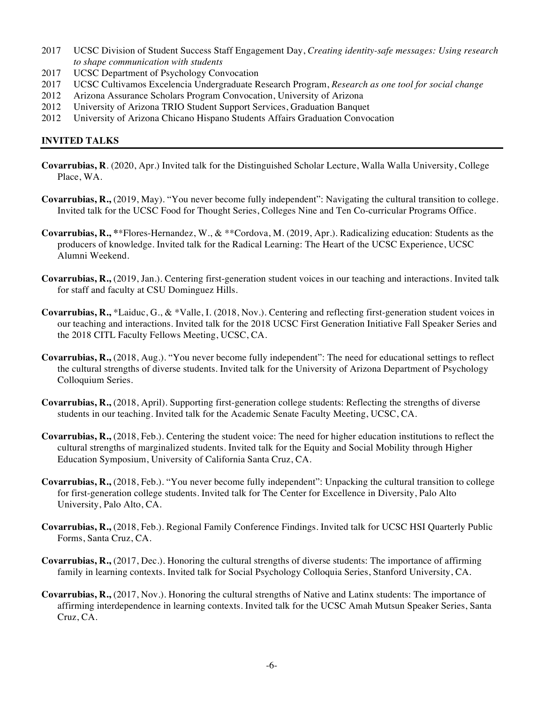- 2017 UCSC Division of Student Success Staff Engagement Day, *Creating identity-safe messages: Using research to shape communication with students*
- 2017 UCSC Department of Psychology Convocation
- 2017 UCSC Cultivamos Excelencia Undergraduate Research Program, *Research as one tool for social change*
- 2012 Arizona Assurance Scholars Program Convocation, University of Arizona
- 2012 University of Arizona TRIO Student Support Services, Graduation Banquet
- 2012 University of Arizona Chicano Hispano Students Affairs Graduation Convocation

#### **INVITED TALKS**

- **Covarrubias, R**. (2020, Apr.) Invited talk for the Distinguished Scholar Lecture, Walla Walla University, College Place, WA.
- **Covarrubias, R.,** (2019, May). "You never become fully independent": Navigating the cultural transition to college. Invited talk for the UCSC Food for Thought Series, Colleges Nine and Ten Co-curricular Programs Office.
- **Covarrubias, R., \***\*Flores-Hernandez, W., & \*\*Cordova, M. (2019, Apr.). Radicalizing education: Students as the producers of knowledge. Invited talk for the Radical Learning: The Heart of the UCSC Experience, UCSC Alumni Weekend.
- **Covarrubias, R.,** (2019, Jan.). Centering first-generation student voices in our teaching and interactions. Invited talk for staff and faculty at CSU Dominguez Hills.
- **Covarrubias, R.,** \*Laiduc, G., & \*Valle, I. (2018, Nov.). Centering and reflecting first-generation student voices in our teaching and interactions. Invited talk for the 2018 UCSC First Generation Initiative Fall Speaker Series and the 2018 CITL Faculty Fellows Meeting, UCSC, CA.
- **Covarrubias, R.,** (2018, Aug.). "You never become fully independent": The need for educational settings to reflect the cultural strengths of diverse students. Invited talk for the University of Arizona Department of Psychology Colloquium Series.
- **Covarrubias, R.,** (2018, April). Supporting first-generation college students: Reflecting the strengths of diverse students in our teaching. Invited talk for the Academic Senate Faculty Meeting, UCSC, CA.
- **Covarrubias, R.,** (2018, Feb.). Centering the student voice: The need for higher education institutions to reflect the cultural strengths of marginalized students. Invited talk for the Equity and Social Mobility through Higher Education Symposium, University of California Santa Cruz, CA.
- **Covarrubias, R.,** (2018, Feb.). "You never become fully independent": Unpacking the cultural transition to college for first-generation college students. Invited talk for The Center for Excellence in Diversity, Palo Alto University, Palo Alto, CA.
- **Covarrubias, R.,** (2018, Feb.). Regional Family Conference Findings. Invited talk for UCSC HSI Quarterly Public Forms, Santa Cruz, CA.
- **Covarrubias, R.,** (2017, Dec.). Honoring the cultural strengths of diverse students: The importance of affirming family in learning contexts. Invited talk for Social Psychology Colloquia Series, Stanford University, CA.
- **Covarrubias, R.,** (2017, Nov.). Honoring the cultural strengths of Native and Latinx students: The importance of affirming interdependence in learning contexts. Invited talk for the UCSC Amah Mutsun Speaker Series, Santa Cruz, CA.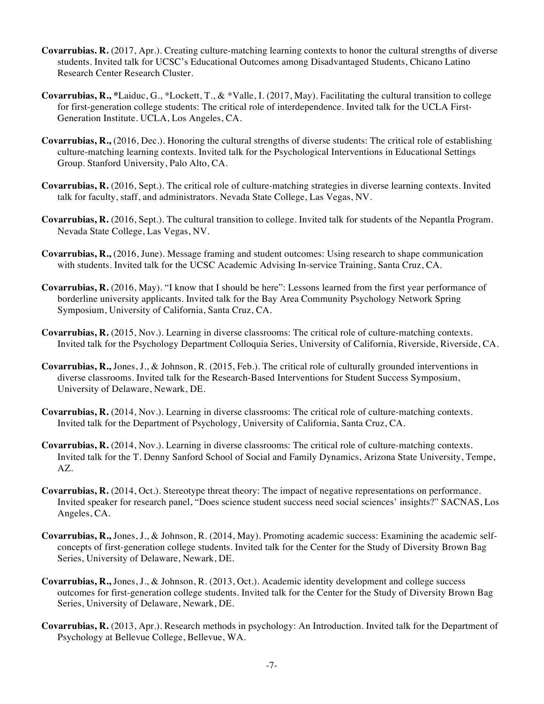- **Covarrubias. R.** (2017, Apr.). Creating culture-matching learning contexts to honor the cultural strengths of diverse students. Invited talk for UCSC's Educational Outcomes among Disadvantaged Students, Chicano Latino Research Center Research Cluster.
- **Covarrubias, R., \***Laiduc, G., \*Lockett, T., & \*Valle, I. (2017, May). Facilitating the cultural transition to college for first-generation college students: The critical role of interdependence. Invited talk for the UCLA First-Generation Institute. UCLA, Los Angeles, CA.
- **Covarrubias, R.,** (2016, Dec.). Honoring the cultural strengths of diverse students: The critical role of establishing culture-matching learning contexts. Invited talk for the Psychological Interventions in Educational Settings Group. Stanford University, Palo Alto, CA.
- **Covarrubias, R.** (2016, Sept.). The critical role of culture-matching strategies in diverse learning contexts. Invited talk for faculty, staff, and administrators. Nevada State College, Las Vegas, NV.
- **Covarrubias, R.** (2016, Sept.). The cultural transition to college. Invited talk for students of the Nepantla Program. Nevada State College, Las Vegas, NV.
- **Covarrubias, R.,** (2016, June). Message framing and student outcomes: Using research to shape communication with students. Invited talk for the UCSC Academic Advising In-service Training, Santa Cruz, CA.
- **Covarrubias, R.** (2016, May). "I know that I should be here": Lessons learned from the first year performance of borderline university applicants. Invited talk for the Bay Area Community Psychology Network Spring Symposium, University of California, Santa Cruz, CA.
- **Covarrubias, R.** (2015, Nov.). Learning in diverse classrooms: The critical role of culture-matching contexts. Invited talk for the Psychology Department Colloquia Series, University of California, Riverside, Riverside, CA.
- **Covarrubias, R.,** Jones, J., & Johnson, R. (2015, Feb.). The critical role of culturally grounded interventions in diverse classrooms. Invited talk for the Research-Based Interventions for Student Success Symposium, University of Delaware, Newark, DE.
- **Covarrubias, R.** (2014, Nov.). Learning in diverse classrooms: The critical role of culture-matching contexts. Invited talk for the Department of Psychology, University of California, Santa Cruz, CA.
- **Covarrubias, R.** (2014, Nov.). Learning in diverse classrooms: The critical role of culture-matching contexts. Invited talk for the T. Denny Sanford School of Social and Family Dynamics, Arizona State University, Tempe, AZ.
- **Covarrubias, R.** (2014, Oct.). Stereotype threat theory: The impact of negative representations on performance. Invited speaker for research panel, "Does science student success need social sciences' insights?" SACNAS, Los Angeles, CA.
- **Covarrubias, R.,** Jones, J., & Johnson, R. (2014, May). Promoting academic success: Examining the academic selfconcepts of first-generation college students. Invited talk for the Center for the Study of Diversity Brown Bag Series, University of Delaware, Newark, DE.
- **Covarrubias, R.,** Jones, J., & Johnson, R. (2013, Oct.). Academic identity development and college success outcomes for first-generation college students. Invited talk for the Center for the Study of Diversity Brown Bag Series, University of Delaware, Newark, DE.
- **Covarrubias, R.** (2013, Apr.). Research methods in psychology: An Introduction. Invited talk for the Department of Psychology at Bellevue College, Bellevue, WA.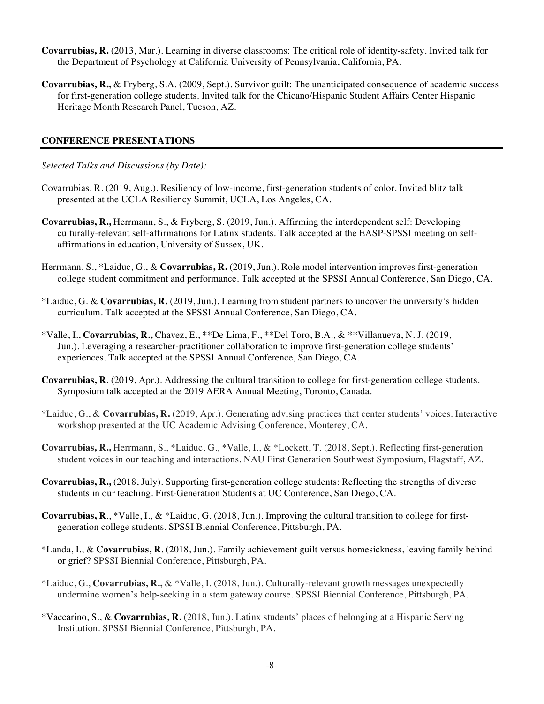- **Covarrubias, R.** (2013, Mar.). Learning in diverse classrooms: The critical role of identity-safety. Invited talk for the Department of Psychology at California University of Pennsylvania, California, PA.
- **Covarrubias, R.,** & Fryberg, S.A. (2009, Sept.). Survivor guilt: The unanticipated consequence of academic success for first-generation college students. Invited talk for the Chicano/Hispanic Student Affairs Center Hispanic Heritage Month Research Panel, Tucson, AZ.

## **CONFERENCE PRESENTATIONS**

*Selected Talks and Discussions (by Date):* 

- Covarrubias, R. (2019, Aug.). Resiliency of low-income, first-generation students of color. Invited blitz talk presented at the UCLA Resiliency Summit, UCLA, Los Angeles, CA.
- **Covarrubias, R.,** Herrmann, S., & Fryberg, S. (2019, Jun.). Affirming the interdependent self: Developing culturally-relevant self-affirmations for Latinx students. Talk accepted at the EASP-SPSSI meeting on selfaffirmations in education, University of Sussex, UK.
- Herrmann, S., \*Laiduc, G., & **Covarrubias, R.** (2019, Jun.). Role model intervention improves first-generation college student commitment and performance. Talk accepted at the SPSSI Annual Conference, San Diego, CA.
- \*Laiduc, G. & **Covarrubias, R.** (2019, Jun.). Learning from student partners to uncover the university's hidden curriculum. Talk accepted at the SPSSI Annual Conference, San Diego, CA.
- \*Valle, I., **Covarrubias, R.,** Chavez, E., \*\*De Lima, F., \*\*Del Toro, B.A., & \*\*Villanueva, N. J. (2019, Jun.). Leveraging a researcher-practitioner collaboration to improve first-generation college students' experiences. Talk accepted at the SPSSI Annual Conference, San Diego, CA.
- **Covarrubias, R**. (2019, Apr.). Addressing the cultural transition to college for first-generation college students. Symposium talk accepted at the 2019 AERA Annual Meeting, Toronto, Canada.
- \*Laiduc, G., & **Covarrubias, R.** (2019, Apr.). Generating advising practices that center students' voices. Interactive workshop presented at the UC Academic Advising Conference, Monterey, CA.
- **Covarrubias, R.,** Herrmann, S., \*Laiduc, G., \*Valle, I., & \*Lockett, T. (2018, Sept.). Reflecting first-generation student voices in our teaching and interactions. NAU First Generation Southwest Symposium, Flagstaff, AZ.
- **Covarrubias, R.,** (2018, July). Supporting first-generation college students: Reflecting the strengths of diverse students in our teaching. First-Generation Students at UC Conference, San Diego, CA.
- **Covarrubias, R**., \*Valle, I., & \*Laiduc, G. (2018, Jun.). Improving the cultural transition to college for firstgeneration college students. SPSSI Biennial Conference, Pittsburgh, PA.
- \*Landa, I., & **Covarrubias, R**. (2018, Jun.). Family achievement guilt versus homesickness, leaving family behind or grief? SPSSI Biennial Conference, Pittsburgh, PA.
- \*Laiduc, G., **Covarrubias, R.,** & \*Valle, I. (2018, Jun.). Culturally-relevant growth messages unexpectedly undermine women's help-seeking in a stem gateway course. SPSSI Biennial Conference, Pittsburgh, PA.
- \*Vaccarino, S., & **Covarrubias, R.** (2018, Jun.). Latinx students' places of belonging at a Hispanic Serving Institution. SPSSI Biennial Conference, Pittsburgh, PA.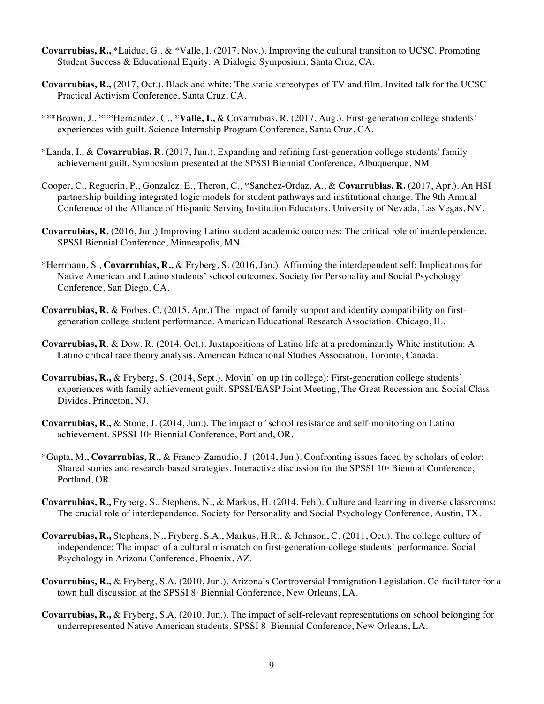- **Covarrubias, R.,** \*Laiduc, G., & \*Valle, I. (2017, Nov.). Improving the cultural transition to UCSC. Promoting Student Success & Educational Equity: A Dialogic Symposium, Santa Cruz, CA.
- **Covarrubias, R.,** (2017, Oct.). Black and white: The static stereotypes of TV and film. Invited talk for the UCSC Practical Activism Conference, Santa Cruz, CA.
- \*\*\*Brown, J., \*\*\*Hernandez, C., \***Valle, I.,** & Covarrubias, R. (2017, Aug.). First-generation college students' experiences with guilt. Science Internship Program Conference, Santa Cruz, CA.
- \*Landa, I., & **Covarrubias, R**. (2017, Jun.). Expanding and refining first-generation college students' family achievement guilt. Symposium presented at the SPSSI Biennial Conference, Albuquerque, NM.
- Cooper, C., Reguerin, P., Gonzalez, E., Theron, C., \*Sanchez-Ordaz, A., & **Covarrubias, R.** (2017, Apr.). An HSI partnership building integrated logic models for student pathways and institutional change. The 9th Annual Conference of the Alliance of Hispanic Serving Institution Educators. University of Nevada, Las Vegas, NV.
- **Covarrubias, R.** (2016, Jun.) Improving Latino student academic outcomes: The critical role of interdependence. SPSSI Biennial Conference, Minneapolis, MN.
- \*Herrmann, S., **Covarrubias, R.,** & Fryberg, S. (2016, Jan.). Affirming the interdependent self: Implications for Native American and Latino students' school outcomes. Society for Personality and Social Psychology Conference, San Diego, CA.
- **Covarrubias, R.** & Forbes, C. (2015, Apr.) The impact of family support and identity compatibility on firstgeneration college student performance. American Educational Research Association, Chicago, IL.
- **Covarrubias, R**. & Dow. R. (2014, Oct.). Juxtapositions of Latino life at a predominantly White institution: A Latino critical race theory analysis. American Educational Studies Association, Toronto, Canada.
- **Covarrubias, R.,** & Fryberg, S. (2014, Sept.). Movin' on up (in college): First-generation college students' experiences with family achievement guilt. SPSSI/EASP Joint Meeting, The Great Recession and Social Class Divides, Princeton, NJ.
- **Covarrubias, R.,** & Stone, J. (2014, Jun.). The impact of school resistance and self-monitoring on Latino achievement. SPSSI 10<sup>th</sup> Biennial Conference, Portland, OR.
- \*Gupta, M., **Covarrubias, R.,** & Franco-Zamudio, J. (2014, Jun.). Confronting issues faced by scholars of color: Shared stories and research-based strategies. Interactive discussion for the SPSSI  $10<sup>th</sup>$  Biennial Conference, Portland, OR.
- **Covarrubias, R.,** Fryberg, S., Stephens, N., & Markus, H. (2014, Feb.). Culture and learning in diverse classrooms: The crucial role of interdependence. Society for Personality and Social Psychology Conference, Austin, TX.
- **Covarrubias, R.,** Stephens, N., Fryberg, S.A., Markus, H.R., & Johnson, C. (2011, Oct.). The college culture of independence: The impact of a cultural mismatch on first-generation-college students' performance. Social Psychology in Arizona Conference, Phoenix, AZ.
- **Covarrubias, R.,** & Fryberg, S.A. (2010, Jun.). Arizona's Controversial Immigration Legislation. Co-facilitator for a town hall discussion at the SPSSI 8<sup>th</sup> Biennial Conference, New Orleans, LA.
- **Covarrubias, R.,** & Fryberg, S.A. (2010, Jun.). The impact of self-relevant representations on school belonging for underrepresented Native American students. SPSSI 8<sup>®</sup> Biennial Conference, New Orleans, LA.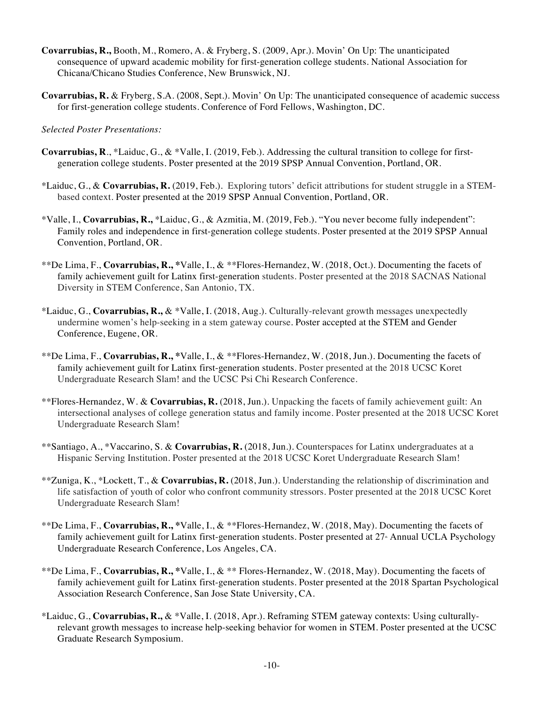- **Covarrubias, R.,** Booth, M., Romero, A. & Fryberg, S. (2009, Apr.). Movin' On Up: The unanticipated consequence of upward academic mobility for first-generation college students. National Association for Chicana/Chicano Studies Conference, New Brunswick, NJ.
- **Covarrubias, R.** & Fryberg, S.A. (2008, Sept.). Movin' On Up: The unanticipated consequence of academic success for first-generation college students. Conference of Ford Fellows, Washington, DC.

## *Selected Poster Presentations:*

- **Covarrubias, R**., \*Laiduc, G., & \*Valle, I. (2019, Feb.). Addressing the cultural transition to college for firstgeneration college students. Poster presented at the 2019 SPSP Annual Convention, Portland, OR.
- \*Laiduc, G., & **Covarrubias, R.** (2019, Feb.). Exploring tutors' deficit attributions for student struggle in a STEMbased context. Poster presented at the 2019 SPSP Annual Convention, Portland, OR.
- \*Valle, I., **Covarrubias, R.,** \*Laiduc, G., & Azmitia, M. (2019, Feb.). "You never become fully independent": Family roles and independence in first-generation college students. Poster presented at the 2019 SPSP Annual Convention, Portland, OR.
- \*\*De Lima, F., **Covarrubias, R., \***Valle, I., & \*\*Flores-Hernandez, W. (2018, Oct.). Documenting the facets of family achievement guilt for Latinx first-generation students. Poster presented at the 2018 SACNAS National Diversity in STEM Conference, San Antonio, TX.
- \*Laiduc, G., **Covarrubias, R.,** & \*Valle, I. (2018, Aug.). Culturally-relevant growth messages unexpectedly undermine women's help-seeking in a stem gateway course. Poster accepted at the STEM and Gender Conference, Eugene, OR.
- \*\*De Lima, F., **Covarrubias, R., \***Valle, I., & \*\*Flores-Hernandez, W. (2018, Jun.). Documenting the facets of family achievement guilt for Latinx first-generation students. Poster presented at the 2018 UCSC Koret Undergraduate Research Slam! and the UCSC Psi Chi Research Conference.
- \*\*Flores-Hernandez, W. & **Covarrubias, R.** (2018, Jun.). Unpacking the facets of family achievement guilt: An intersectional analyses of college generation status and family income. Poster presented at the 2018 UCSC Koret Undergraduate Research Slam!
- \*\*Santiago, A., \*Vaccarino, S. & **Covarrubias, R.** (2018, Jun.). Counterspaces for Latinx undergraduates at a Hispanic Serving Institution. Poster presented at the 2018 UCSC Koret Undergraduate Research Slam!
- \*\*Zuniga, K., \*Lockett, T., & **Covarrubias, R.** (2018, Jun.). Understanding the relationship of discrimination and life satisfaction of youth of color who confront community stressors. Poster presented at the 2018 UCSC Koret Undergraduate Research Slam!
- \*\*De Lima, F., **Covarrubias, R., \***Valle, I., & \*\*Flores-Hernandez, W. (2018, May). Documenting the facets of family achievement guilt for Latinx first-generation students. Poster presented at 27<sup>th</sup> Annual UCLA Psychology Undergraduate Research Conference, Los Angeles, CA.
- \*\*De Lima, F., **Covarrubias, R., \***Valle, I., & \*\* Flores-Hernandez, W. (2018, May). Documenting the facets of family achievement guilt for Latinx first-generation students. Poster presented at the 2018 Spartan Psychological Association Research Conference, San Jose State University, CA.
- \*Laiduc, G., **Covarrubias, R.,** & \*Valle, I. (2018, Apr.). Reframing STEM gateway contexts: Using culturallyrelevant growth messages to increase help-seeking behavior for women in STEM. Poster presented at the UCSC Graduate Research Symposium.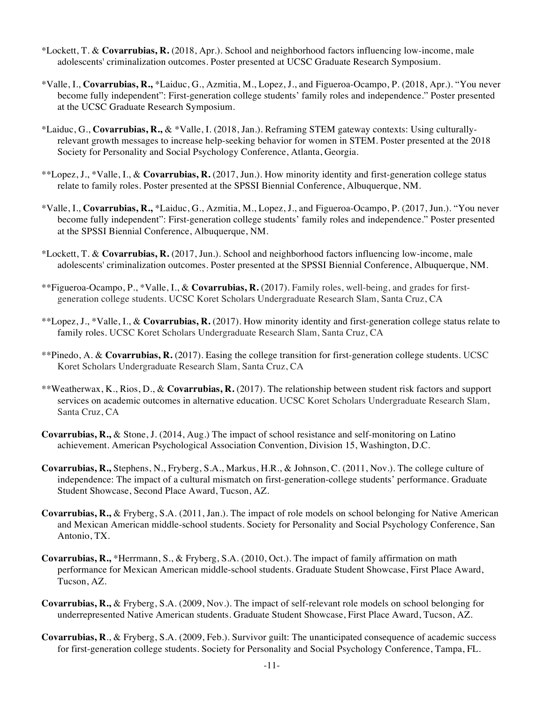- \*Lockett, T. & **Covarrubias, R.** (2018, Apr.). School and neighborhood factors influencing low-income, male adolescents' criminalization outcomes. Poster presented at UCSC Graduate Research Symposium.
- \*Valle, I., **Covarrubias, R.,** \*Laiduc, G., Azmitia, M., Lopez, J., and Figueroa-Ocampo, P. (2018, Apr.). "You never become fully independent": First-generation college students' family roles and independence." Poster presented at the UCSC Graduate Research Symposium.
- \*Laiduc, G., **Covarrubias, R.,** & \*Valle, I. (2018, Jan.). Reframing STEM gateway contexts: Using culturallyrelevant growth messages to increase help-seeking behavior for women in STEM. Poster presented at the 2018 Society for Personality and Social Psychology Conference, Atlanta, Georgia.
- \*\*Lopez, J., \*Valle, I., & **Covarrubias, R.** (2017, Jun.). How minority identity and first-generation college status relate to family roles. Poster presented at the SPSSI Biennial Conference, Albuquerque, NM.
- \*Valle, I., **Covarrubias, R.,** \*Laiduc, G., Azmitia, M., Lopez, J., and Figueroa-Ocampo, P. (2017, Jun.). "You never become fully independent": First-generation college students' family roles and independence." Poster presented at the SPSSI Biennial Conference, Albuquerque, NM.
- \*Lockett, T. & **Covarrubias, R.** (2017, Jun.). School and neighborhood factors influencing low-income, male adolescents' criminalization outcomes. Poster presented at the SPSSI Biennial Conference, Albuquerque, NM.
- \*\*Figueroa-Ocampo, P., \*Valle, I., & **Covarrubias, R.** (2017). Family roles, well-being, and grades for firstgeneration college students. UCSC Koret Scholars Undergraduate Research Slam, Santa Cruz, CA
- \*\*Lopez, J., \*Valle, I., & **Covarrubias, R.** (2017). How minority identity and first-generation college status relate to family roles. UCSC Koret Scholars Undergraduate Research Slam, Santa Cruz, CA
- \*\*Pinedo, A. & **Covarrubias, R.** (2017). Easing the college transition for first-generation college students. UCSC Koret Scholars Undergraduate Research Slam, Santa Cruz, CA
- \*\*Weatherwax, K., Rios, D., & **Covarrubias, R.** (2017). The relationship between student risk factors and support services on academic outcomes in alternative education. UCSC Koret Scholars Undergraduate Research Slam, Santa Cruz, CA
- **Covarrubias, R.,** & Stone, J. (2014, Aug.) The impact of school resistance and self-monitoring on Latino achievement. American Psychological Association Convention, Division 15, Washington, D.C.
- **Covarrubias, R.,** Stephens, N., Fryberg, S.A., Markus, H.R., & Johnson, C. (2011, Nov.). The college culture of independence: The impact of a cultural mismatch on first-generation-college students' performance. Graduate Student Showcase, Second Place Award, Tucson, AZ.
- **Covarrubias, R.,** & Fryberg, S.A. (2011, Jan.). The impact of role models on school belonging for Native American and Mexican American middle-school students. Society for Personality and Social Psychology Conference, San Antonio, TX.
- **Covarrubias, R.,** \*Herrmann, S., & Fryberg, S.A. (2010, Oct.). The impact of family affirmation on math performance for Mexican American middle-school students. Graduate Student Showcase, First Place Award, Tucson, AZ.
- **Covarrubias, R.,** & Fryberg, S.A. (2009, Nov.). The impact of self-relevant role models on school belonging for underrepresented Native American students. Graduate Student Showcase, First Place Award, Tucson, AZ.
- **Covarrubias, R**., & Fryberg, S.A. (2009, Feb.). Survivor guilt: The unanticipated consequence of academic success for first-generation college students. Society for Personality and Social Psychology Conference, Tampa, FL.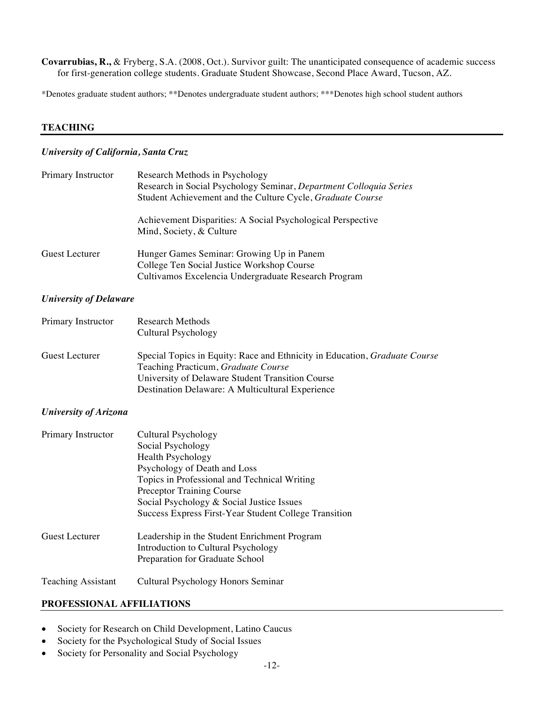**Covarrubias, R.,** & Fryberg, S.A. (2008, Oct.). Survivor guilt: The unanticipated consequence of academic success for first-generation college students. Graduate Student Showcase, Second Place Award, Tucson, AZ.

\*Denotes graduate student authors; \*\*Denotes undergraduate student authors; \*\*\*Denotes high school student authors

## **TEACHING**

#### *University of California, Santa Cruz*

| Primary Instructor    | Research Methods in Psychology<br>Research in Social Psychology Seminar, Department Colloquia Series<br>Student Achievement and the Culture Cycle, Graduate Course |  |
|-----------------------|--------------------------------------------------------------------------------------------------------------------------------------------------------------------|--|
|                       | Achievement Disparities: A Social Psychological Perspective<br>Mind, Society, & Culture                                                                            |  |
| <b>Guest Lecturer</b> | Hunger Games Seminar: Growing Up in Panem<br>College Ten Social Justice Workshop Course<br>Cultivamos Excelencia Undergraduate Research Program                    |  |

#### *University of Delaware*

| Primary Instructor | <b>Research Methods</b><br>Cultural Psychology                                                                           |
|--------------------|--------------------------------------------------------------------------------------------------------------------------|
| Guest Lecturer     | Special Topics in Equity: Race and Ethnicity in Education, <i>Graduate Course</i><br>Teaching Practicum, Graduate Course |
|                    | University of Delaware Student Transition Course                                                                         |
|                    | Destination Delaware: A Multicultural Experience                                                                         |

#### *University of Arizona*

| Primary Instructor        | Cultural Psychology                                   |
|---------------------------|-------------------------------------------------------|
|                           | Social Psychology                                     |
|                           | <b>Health Psychology</b>                              |
|                           | Psychology of Death and Loss                          |
|                           | Topics in Professional and Technical Writing          |
|                           | <b>Preceptor Training Course</b>                      |
|                           | Social Psychology & Social Justice Issues             |
|                           | Success Express First-Year Student College Transition |
| <b>Guest Lecturer</b>     | Leadership in the Student Enrichment Program          |
|                           | Introduction to Cultural Psychology                   |
|                           | Preparation for Graduate School                       |
| <b>Teaching Assistant</b> | Cultural Psychology Honors Seminar                    |

## **PROFESSIONAL AFFILIATIONS**

- Society for Research on Child Development, Latino Caucus
- Society for the Psychological Study of Social Issues
- Society for Personality and Social Psychology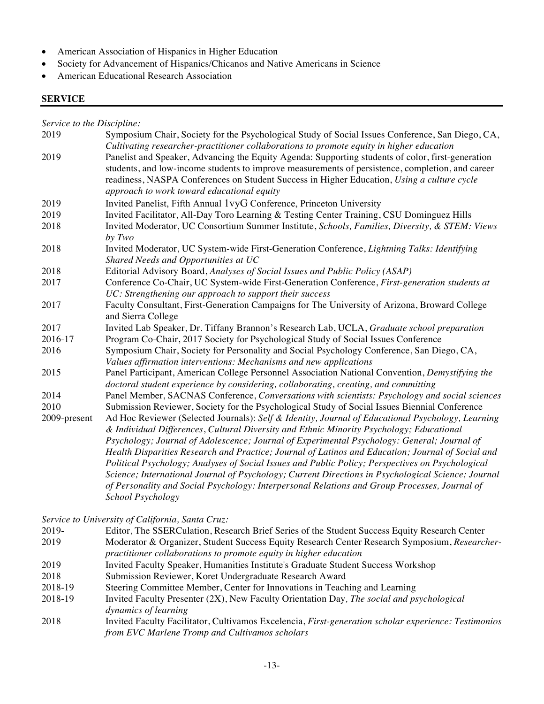- American Association of Hispanics in Higher Education
- Society for Advancement of Hispanics/Chicanos and Native Americans in Science
- American Educational Research Association

#### **SERVICE**

*Service to the Discipline:*

| Symposium Chair, Society for the Psychological Study of Social Issues Conference, San Diego, CA,<br>Cultivating researcher-practitioner collaborations to promote equity in higher education                                                                                                                                                      |
|---------------------------------------------------------------------------------------------------------------------------------------------------------------------------------------------------------------------------------------------------------------------------------------------------------------------------------------------------|
| Panelist and Speaker, Advancing the Equity Agenda: Supporting students of color, first-generation<br>students, and low-income students to improve measurements of persistence, completion, and career<br>readiness, NASPA Conferences on Student Success in Higher Education, Using a culture cycle<br>approach to work toward educational equity |
| Invited Panelist, Fifth Annual 1vyG Conference, Princeton University                                                                                                                                                                                                                                                                              |
| Invited Facilitator, All-Day Toro Learning & Testing Center Training, CSU Dominguez Hills                                                                                                                                                                                                                                                         |
| Invited Moderator, UC Consortium Summer Institute, Schools, Families, Diversity, & STEM: Views<br>by Two                                                                                                                                                                                                                                          |
| Invited Moderator, UC System-wide First-Generation Conference, Lightning Talks: Identifying<br>Shared Needs and Opportunities at UC                                                                                                                                                                                                               |
| Editorial Advisory Board, Analyses of Social Issues and Public Policy (ASAP)                                                                                                                                                                                                                                                                      |
| Conference Co-Chair, UC System-wide First-Generation Conference, First-generation students at<br>UC: Strengthening our approach to support their success                                                                                                                                                                                          |
| Faculty Consultant, First-Generation Campaigns for The University of Arizona, Broward College<br>and Sierra College                                                                                                                                                                                                                               |
| Invited Lab Speaker, Dr. Tiffany Brannon's Research Lab, UCLA, Graduate school preparation                                                                                                                                                                                                                                                        |
| Program Co-Chair, 2017 Society for Psychological Study of Social Issues Conference                                                                                                                                                                                                                                                                |
| Symposium Chair, Society for Personality and Social Psychology Conference, San Diego, CA,<br>Values affirmation interventions: Mechanisms and new applications                                                                                                                                                                                    |
| Panel Participant, American College Personnel Association National Convention, Demystifying the<br>doctoral student experience by considering, collaborating, creating, and committing                                                                                                                                                            |
| Panel Member, SACNAS Conference, Conversations with scientists: Psychology and social sciences                                                                                                                                                                                                                                                    |
| Submission Reviewer, Society for the Psychological Study of Social Issues Biennial Conference                                                                                                                                                                                                                                                     |
| Ad Hoc Reviewer (Selected Journals): Self & Identity, Journal of Educational Psychology, Learning<br>& Individual Differences, Cultural Diversity and Ethnic Minority Psychology; Educational                                                                                                                                                     |
| Psychology; Journal of Adolescence; Journal of Experimental Psychology: General; Journal of<br>Health Disparities Research and Practice; Journal of Latinos and Education; Journal of Social and                                                                                                                                                  |
| Political Psychology; Analyses of Social Issues and Public Policy; Perspectives on Psychological                                                                                                                                                                                                                                                  |
| Science; International Journal of Psychology; Current Directions in Psychological Science; Journal                                                                                                                                                                                                                                                |
| of Personality and Social Psychology: Interpersonal Relations and Group Processes, Journal of<br>School Psychology                                                                                                                                                                                                                                |
|                                                                                                                                                                                                                                                                                                                                                   |

*Service to University of California, Santa Cruz:*

- 2019- Editor, The SSERCulation, Research Brief Series of the Student Success Equity Research Center 2019 Moderator & Organizer, Student Success Equity Research Center Research Symposium, *Researcher-*
- *practitioner collaborations to promote equity in higher education*
- 2019 Invited Faculty Speaker, Humanities Institute's Graduate Student Success Workshop
- 2018 Submission Reviewer, Koret Undergraduate Research Award
- 2018-19 Steering Committee Member, Center for Innovations in Teaching and Learning
- 2018-19 Invited Faculty Presenter (2X), New Faculty Orientation Day*, The social and psychological dynamics of learning*
- 2018 Invited Faculty Facilitator, Cultivamos Excelencia, *First-generation scholar experience: Testimonios from EVC Marlene Tromp and Cultivamos scholars*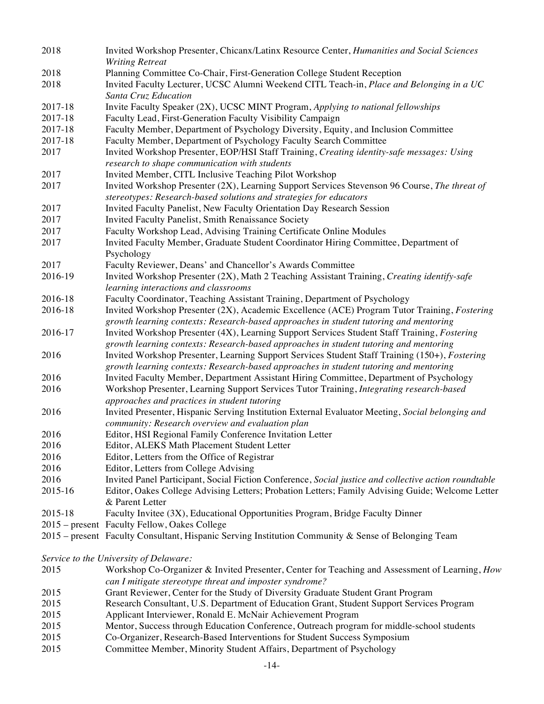| 2018                                   | Invited Workshop Presenter, Chicanx/Latinx Resource Center, Humanities and Social Sciences              |
|----------------------------------------|---------------------------------------------------------------------------------------------------------|
|                                        | <b>Writing Retreat</b>                                                                                  |
| 2018                                   | Planning Committee Co-Chair, First-Generation College Student Reception                                 |
| 2018                                   | Invited Faculty Lecturer, UCSC Alumni Weekend CITL Teach-in, Place and Belonging in a UC                |
|                                        | Santa Cruz Education                                                                                    |
| 2017-18                                | Invite Faculty Speaker (2X), UCSC MINT Program, Applying to national fellowships                        |
| 2017-18                                | Faculty Lead, First-Generation Faculty Visibility Campaign                                              |
| 2017-18                                | Faculty Member, Department of Psychology Diversity, Equity, and Inclusion Committee                     |
| 2017-18                                | Faculty Member, Department of Psychology Faculty Search Committee                                       |
| 2017                                   | Invited Workshop Presenter, EOP/HSI Staff Training, Creating identity-safe messages: Using              |
|                                        | research to shape communication with students                                                           |
| 2017                                   | Invited Member, CITL Inclusive Teaching Pilot Workshop                                                  |
| 2017                                   | Invited Workshop Presenter (2X), Learning Support Services Stevenson 96 Course, The threat of           |
|                                        | stereotypes: Research-based solutions and strategies for educators                                      |
| 2017                                   | Invited Faculty Panelist, New Faculty Orientation Day Research Session                                  |
| 2017                                   | Invited Faculty Panelist, Smith Renaissance Society                                                     |
| 2017                                   | Faculty Workshop Lead, Advising Training Certificate Online Modules                                     |
| 2017                                   | Invited Faculty Member, Graduate Student Coordinator Hiring Committee, Department of                    |
|                                        | Psychology                                                                                              |
| 2017                                   | Faculty Reviewer, Deans' and Chancellor's Awards Committee                                              |
| 2016-19                                | Invited Workshop Presenter (2X), Math 2 Teaching Assistant Training, Creating identify-safe             |
|                                        | learning interactions and classrooms                                                                    |
| 2016-18                                | Faculty Coordinator, Teaching Assistant Training, Department of Psychology                              |
| 2016-18                                | Invited Workshop Presenter (2X), Academic Excellence (ACE) Program Tutor Training, Fostering            |
|                                        | growth learning contexts: Research-based approaches in student tutoring and mentoring                   |
| 2016-17                                | Invited Workshop Presenter (4X), Learning Support Services Student Staff Training, Fostering            |
|                                        | growth learning contexts: Research-based approaches in student tutoring and mentoring                   |
| 2016                                   | Invited Workshop Presenter, Learning Support Services Student Staff Training (150+), Fostering          |
|                                        | growth learning contexts: Research-based approaches in student tutoring and mentoring                   |
| 2016                                   | Invited Faculty Member, Department Assistant Hiring Committee, Department of Psychology                 |
| 2016                                   | Workshop Presenter, Learning Support Services Tutor Training, Integrating research-based                |
|                                        | approaches and practices in student tutoring                                                            |
| 2016                                   | Invited Presenter, Hispanic Serving Institution External Evaluator Meeting, Social belonging and        |
|                                        |                                                                                                         |
|                                        | community: Research overview and evaluation plan                                                        |
| 2016                                   | Editor, HSI Regional Family Conference Invitation Letter<br>Editor, ALEKS Math Placement Student Letter |
| 2016                                   |                                                                                                         |
| 2016                                   | Editor, Letters from the Office of Registrar                                                            |
| 2016                                   | Editor, Letters from College Advising                                                                   |
| 2016                                   | Invited Panel Participant, Social Fiction Conference, Social justice and collective action roundtable   |
| 2015-16                                | Editor, Oakes College Advising Letters; Probation Letters; Family Advising Guide; Welcome Letter        |
|                                        | & Parent Letter                                                                                         |
| 2015-18                                | Faculty Invitee (3X), Educational Opportunities Program, Bridge Faculty Dinner                          |
|                                        | 2015 – present Faculty Fellow, Oakes College                                                            |
|                                        | 2015 – present Faculty Consultant, Hispanic Serving Institution Community & Sense of Belonging Team     |
|                                        |                                                                                                         |
| Service to the University of Delaware: |                                                                                                         |

- 2015 Workshop Co-Organizer & Invited Presenter, Center for Teaching and Assessment of Learning, *How can I mitigate stereotype threat and imposter syndrome?* 2015 Grant Reviewer, Center for the Study of Diversity Graduate Student Grant Program<br>2015 Research Consultant, U.S. Department of Education Grant, Student Support Service Research Consultant, U.S. Department of Education Grant, Student Support Services Program 2015 Applicant Interviewer, Ronald E. McNair Achievement Program<br>2015 Mentor, Success through Education Conference, Outreach progra Mentor, Success through Education Conference, Outreach program for middle-school students 2015 Co-Organizer, Research-Based Interventions for Student Success Symposium
- 2015 Committee Member, Minority Student Affairs, Department of Psychology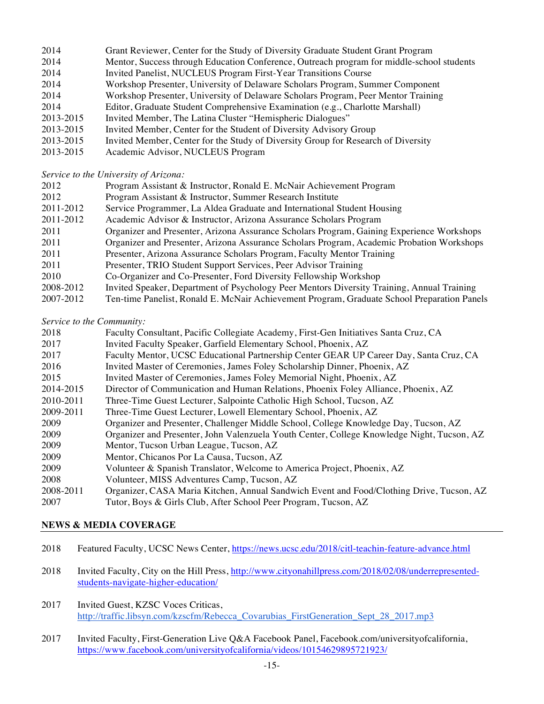| 2014      | Grant Reviewer, Center for the Study of Diversity Graduate Student Grant Program          |
|-----------|-------------------------------------------------------------------------------------------|
| 2014      | Mentor, Success through Education Conference, Outreach program for middle-school students |
| 2014      | Invited Panelist, NUCLEUS Program First-Year Transitions Course                           |
| 2014      | Workshop Presenter, University of Delaware Scholars Program, Summer Component             |
| 2014      | Workshop Presenter, University of Delaware Scholars Program, Peer Mentor Training         |
| 2014      | Editor, Graduate Student Comprehensive Examination (e.g., Charlotte Marshall)             |
| 2013-2015 | Invited Member, The Latina Cluster "Hemispheric Dialogues"                                |
| 2013-2015 | Invited Member, Center for the Student of Diversity Advisory Group                        |
| 2013-2015 | Invited Member, Center for the Study of Diversity Group for Research of Diversity         |
| 0.12.015  |                                                                                           |

2013-2015 Academic Advisor, NUCLEUS Program

*Service to the University of Arizona:* 

| 2012      | Program Assistant & Instructor, Ronald E. McNair Achievement Program                       |
|-----------|--------------------------------------------------------------------------------------------|
| 2012      | Program Assistant & Instructor, Summer Research Institute                                  |
| 2011-2012 | Service Programmer, La Aldea Graduate and International Student Housing                    |
| 2011-2012 | Academic Advisor & Instructor, Arizona Assurance Scholars Program                          |
| 2011      | Organizer and Presenter, Arizona Assurance Scholars Program, Gaining Experience Workshops  |
| 2011      | Organizer and Presenter, Arizona Assurance Scholars Program, Academic Probation Workshops  |
| 2011      | Presenter, Arizona Assurance Scholars Program, Faculty Mentor Training                     |
| 2011      | Presenter, TRIO Student Support Services, Peer Advisor Training                            |
| 2010      | Co-Organizer and Co-Presenter, Ford Diversity Fellowship Workshop                          |
| 2008-2012 | Invited Speaker, Department of Psychology Peer Mentors Diversity Training, Annual Training |
|           |                                                                                            |

2007-2012 Ten-time Panelist, Ronald E. McNair Achievement Program, Graduate School Preparation Panels

*Service to the Community:* 

| 2018      | Faculty Consultant, Pacific Collegiate Academy, First-Gen Initiatives Santa Cruz, CA       |
|-----------|--------------------------------------------------------------------------------------------|
| 2017      | Invited Faculty Speaker, Garfield Elementary School, Phoenix, AZ                           |
| 2017      | Faculty Mentor, UCSC Educational Partnership Center GEAR UP Career Day, Santa Cruz, CA     |
| 2016      | Invited Master of Ceremonies, James Foley Scholarship Dinner, Phoenix, AZ                  |
| 2015      | Invited Master of Ceremonies, James Foley Memorial Night, Phoenix, AZ                      |
| 2014-2015 | Director of Communication and Human Relations, Phoenix Foley Alliance, Phoenix, AZ         |
| 2010-2011 | Three-Time Guest Lecturer, Salpointe Catholic High School, Tucson, AZ                      |
| 2009-2011 | Three-Time Guest Lecturer, Lowell Elementary School, Phoenix, AZ                           |
| 2009      | Organizer and Presenter, Challenger Middle School, College Knowledge Day, Tucson, AZ       |
| 2009      | Organizer and Presenter, John Valenzuela Youth Center, College Knowledge Night, Tucson, AZ |
| 2009      | Mentor, Tucson Urban League, Tucson, AZ                                                    |
| 2009      | Mentor, Chicanos Por La Causa, Tucson, AZ                                                  |
| 2009      | Volunteer & Spanish Translator, Welcome to America Project, Phoenix, AZ                    |
| 2008      | Volunteer, MISS Adventures Camp, Tucson, AZ                                                |
| 2008-2011 | Organizer, CASA Maria Kitchen, Annual Sandwich Event and Food/Clothing Drive, Tucson, AZ   |
| 2007      | Tutor, Boys & Girls Club, After School Peer Program, Tucson, AZ                            |

#### **NEWS & MEDIA COVERAGE**

- 2018 Featured Faculty, UCSC News Center, https://news.ucsc.edu/2018/citl-teachin-feature-advance.html
- 2018 Invited Faculty, City on the Hill Press, http://www.cityonahillpress.com/2018/02/08/underrepresentedstudents-navigate-higher-education/
- 2017 Invited Guest, KZSC Voces Criticas, http://traffic.libsyn.com/kzscfm/Rebecca Covarubias FirstGeneration Sept 28 2017.mp3
- 2017 Invited Faculty, First-Generation Live Q&A Facebook Panel, Facebook.com/universityofcalifornia, https://www.facebook.com/universityofcalifornia/videos/10154629895721923/